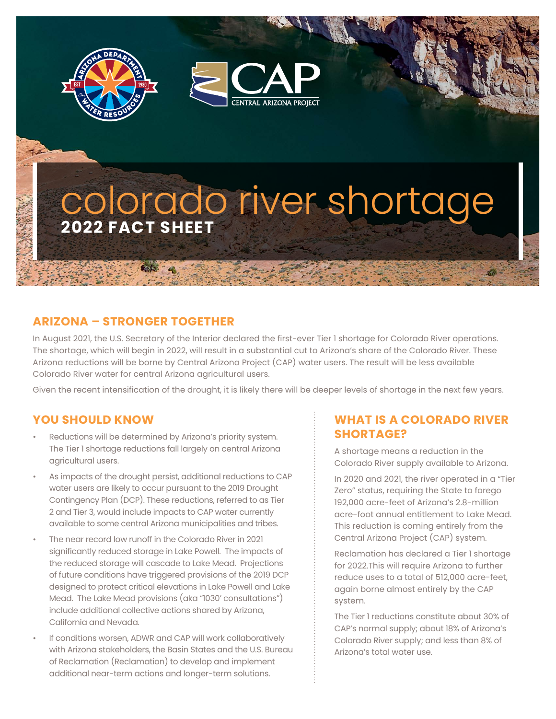



# **2022 FACT SHEET** colorado river shortage

### **ARIZONA – STRONGER TOGETHER**

In August 2021, the U.S. Secretary of the Interior declared the first-ever Tier 1 shortage for Colorado River operations. The shortage, which will begin in 2022, will result in a substantial cut to Arizona's share of the Colorado River. These Arizona reductions will be borne by Central Arizona Project (CAP) water users. The result will be less available Colorado River water for central Arizona agricultural users.

Given the recent intensification of the drought, it is likely there will be deeper levels of shortage in the next few years.

#### **YOU SHOULD KNOW**

- Reductions will be determined by Arizona's priority system. The Tier 1 shortage reductions fall largely on central Arizona agricultural users.
- As impacts of the drought persist, additional reductions to CAP water users are likely to occur pursuant to the 2019 Drought Contingency Plan (DCP). These reductions, referred to as Tier 2 and Tier 3, would include impacts to CAP water currently available to some central Arizona municipalities and tribes.
- The near record low runoff in the Colorado River in 2021 significantly reduced storage in Lake Powell. The impacts of the reduced storage will cascade to Lake Mead. Projections of future conditions have triggered provisions of the 2019 DCP designed to protect critical elevations in Lake Powell and Lake Mead. The Lake Mead provisions (aka "1030' consultations") include additional collective actions shared by Arizona, California and Nevada.
- If conditions worsen, ADWR and CAP will work collaboratively with Arizona stakeholders, the Basin States and the U.S. Bureau of Reclamation (Reclamation) to develop and implement additional near-term actions and longer-term solutions.

#### **WHAT IS A COLORADO RIVER SHORTAGE?**

A shortage means a reduction in the Colorado River supply available to Arizona.

In 2020 and 2021, the river operated in a "Tier Zero" status, requiring the State to forego 192,000 acre-feet of Arizona's 2.8-million acre-foot annual entitlement to Lake Mead. This reduction is coming entirely from the Central Arizona Project (CAP) system.

Reclamation has declared a Tier 1 shortage for 2022.This will require Arizona to further reduce uses to a total of 512,000 acre-feet, again borne almost entirely by the CAP system.

The Tier 1 reductions constitute about 30% of CAP's normal supply; about 18% of Arizona's Colorado River supply; and less than 8% of Arizona's total water use.